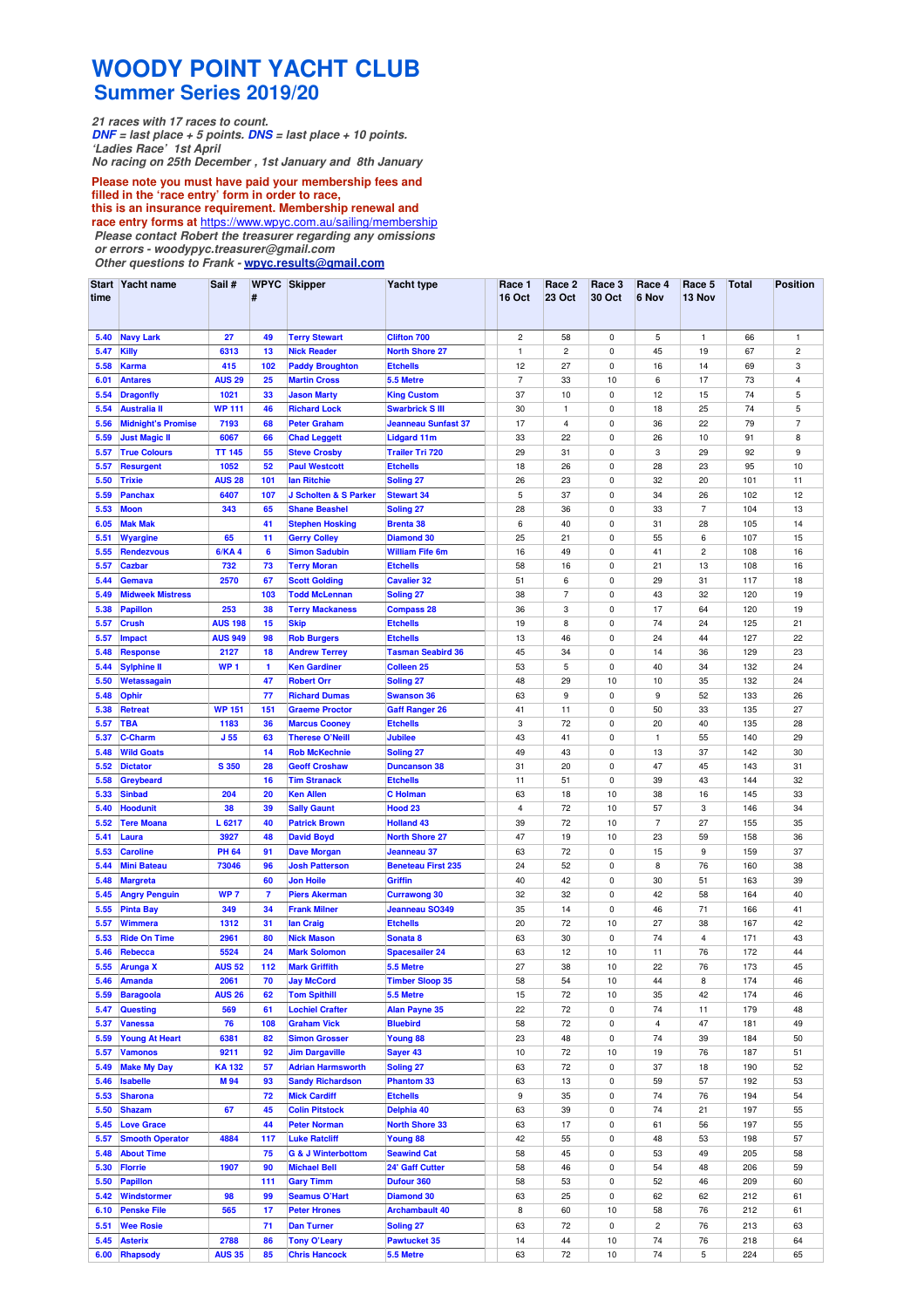## **WOODY POINT YACHT CLUB Summer Series 2019/20**

**21 races with 17 races to count. DNF = last place + 5 points. DNS = last place + 10 points. 'Ladies Race' 1st April**

**No racing on 25th December , 1st January and 8th January**

**Please note you must have paid your membership fees and filled in the 'race entry' form in order to race, this is an insurance requirement. Membership renewal and race entry forms at** https://www.wpyc.com.au/sailing/membership **Please contact Robert the treasurer regarding any omissions**

**or errors - woodypyc.treasurer@gmail.com** 

**Other questions to Frank - wpyc.results@gmail.com**

| time         | Start Yacht name                         | Sail#                  | #                    | <b>WPYC Skipper</b>                                  | Yacht type                                | Race 1<br><b>16 Oct</b> | Race 2<br><b>23 Oct</b> | Race 3<br>30 Oct         | Race 4<br>6 Nov | Race 5<br>13 Nov        | <b>Total</b> | Position       |
|--------------|------------------------------------------|------------------------|----------------------|------------------------------------------------------|-------------------------------------------|-------------------------|-------------------------|--------------------------|-----------------|-------------------------|--------------|----------------|
| 5.40         | <b>Navy Lark</b>                         | 27                     | 49                   | <b>Terry Stewart</b>                                 | <b>Clifton 700</b>                        | $\overline{\mathbf{c}}$ | 58                      | $\mathsf 0$              | 5               | $\mathbf{1}$            | 66           | 1              |
| 5.47         | <b>Killy</b>                             | 6313                   | 13                   | <b>Nick Reader</b>                                   | <b>North Shore 27</b>                     | $\mathbf{1}$            | $\overline{c}$          | 0                        | 45              | 19                      | 67           | 2              |
| 5.58         | <b>Karma</b>                             | 415                    | 102                  | <b>Paddy Broughton</b>                               | <b>Etchells</b>                           | 12                      | 27                      | 0                        | 16              | 14                      | 69           | 3              |
| 6.01         | <b>Antares</b>                           | <b>AUS 29</b>          | 25                   | <b>Martin Cross</b>                                  | 5.5 Metre                                 | $\overline{7}$          | 33                      | 10                       | 6               | 17                      | 73           | $\overline{4}$ |
| 5.54         | <b>Dragonfly</b>                         | 1021                   | 33                   | <b>Jason Marty</b>                                   | <b>King Custom</b>                        | 37                      | 10                      | $\mathsf 0$              | 12              | 15                      | 74           | 5              |
| 5.54         | <b>Australia II</b>                      | <b>WP 111</b>          | 46                   | <b>Richard Lock</b>                                  | <b>Swarbrick S III</b>                    | 30                      | 1                       | 0                        | 18              | 25                      | 74           | 5              |
| 5.56         | <b>Midnight's Promise</b>                | 7193                   | 68                   | <b>Peter Graham</b>                                  | <b>Jeanneau Sunfast 37</b>                | 17                      | 4                       | 0                        | 36              | 22                      | 79           | $\overline{7}$ |
| 5.59         | <b>Just Magic II</b>                     | 6067                   | 66                   | <b>Chad Leggett</b>                                  | <b>Lidgard 11m</b>                        | 33                      | 22                      | 0                        | 26              | 10                      | 91           | 8              |
| 5.57         | <b>True Colours</b>                      | <b>TT 145</b>          | 55                   | <b>Steve Crosby</b>                                  | <b>Trailer Tri 720</b>                    | 29                      | 31                      | 0                        | 3               | 29                      | 92           | 9              |
| 5.57         | <b>Resurgent</b>                         | 1052                   | 52                   | <b>Paul Westcott</b>                                 | <b>Etchells</b>                           | 18                      | 26                      | $\mathbf 0$              | 28              | 23                      | 95           | 10             |
| 5.50<br>5.59 | <b>Trixie</b><br><b>Panchax</b>          | <b>AUS 28</b><br>6407  | 101<br>107           | lan Ritchie<br>J Scholten & S Parker                 | <b>Soling 27</b><br><b>Stewart 34</b>     | 26<br>5                 | 23<br>37                | 0<br>0                   | 32<br>34        | 20<br>26                | 101<br>102   | 11<br>12       |
| 5.53         | <b>Moon</b>                              | 343                    | 65                   | <b>Shane Beashel</b>                                 | <b>Soling 27</b>                          | 28                      | 36                      | 0                        | 33              | $\overline{7}$          | 104          | 13             |
| 6.05         | <b>Mak Mak</b>                           |                        | 41                   | <b>Stephen Hosking</b>                               | <b>Brenta 38</b>                          | 6                       | 40                      | 0                        | 31              | 28                      | 105          | 14             |
| 5.51         | <b>Wyargine</b>                          | 65                     | 11                   | <b>Gerry Colley</b>                                  | <b>Diamond 30</b>                         | 25                      | 21                      | 0                        | 55              | 6                       | 107          | 15             |
| 5.55         | <b>Rendezvous</b>                        | <b>6/KA4</b>           | 6                    | <b>Simon Sadubin</b>                                 | <b>William Fife 6m</b>                    | 16                      | 49                      | 0                        | 41              | $\overline{\mathbf{c}}$ | 108          | 16             |
| 5.57         | <b>Cazbar</b>                            | 732                    | 73                   | <b>Terry Moran</b>                                   | <b>Etchells</b>                           | 58                      | 16                      | $\mathsf 0$              | 21              | 13                      | 108          | 16             |
| 5.44         | <b>Gemava</b>                            | 2570                   | 67                   | <b>Scott Golding</b>                                 | <b>Cavalier 32</b>                        | 51                      | 6                       | $\mathbf 0$              | 29              | 31                      | 117          | 18             |
| 5.49         | <b>Midweek Mistress</b>                  |                        | 103                  | <b>Todd McLennan</b>                                 | <b>Soling 27</b>                          | 38                      | $\overline{7}$          | $\mathsf 0$              | 43              | 32                      | 120          | 19             |
| 5.38         | <b>Papillon</b>                          | 253                    | 38                   | <b>Terry Mackaness</b>                               | <b>Compass 28</b>                         | 36                      | 3                       | 0                        | 17              | 64                      | 120          | 19             |
| 5.57         | <b>Crush</b>                             | <b>AUS 198</b>         | 15                   | <b>Skip</b>                                          | <b>Etchells</b>                           | 19                      | 8                       | 0                        | 74              | 24                      | 125          | 21             |
| 5.57         | <b>Impact</b>                            | <b>AUS 949</b>         | 98                   | <b>Rob Burgers</b>                                   | <b>Etchells</b>                           | 13                      | 46                      | 0                        | 24              | 44                      | 127          | 22             |
| 5.48         | <b>Response</b>                          | 2127                   | 18                   | <b>Andrew Terrey</b>                                 | <b>Tasman Seabird 36</b>                  | 45                      | 34                      | 0                        | 14              | 36                      | 129          | 23             |
| 5.44         | <b>Sylphine II</b>                       | WP <sub>1</sub>        | 1                    | <b>Ken Gardiner</b>                                  | <b>Colleen 25</b>                         | 53                      | 5                       | $\mathbf 0$              | 40              | 34                      | 132          | 24             |
| 5.50<br>5.48 | Wetassagain                              |                        | 47<br>77             | <b>Robert Orr</b><br><b>Richard Dumas</b>            | Soling <sub>27</sub><br><b>Swanson 36</b> | 48<br>63                | 29<br>9                 | 10<br>0                  | 10<br>9         | 35<br>52                | 132<br>133   | 24<br>26       |
| 5.38         | <b>Ophir</b><br><b>Retreat</b>           | <b>WP 151</b>          | 151                  | <b>Graeme Proctor</b>                                | <b>Gaff Ranger 26</b>                     | 41                      | 11                      | 0                        | 50              | 33                      | 135          | 27             |
| 5.57         | <b>TBA</b>                               | 1183                   | 36                   | <b>Marcus Cooney</b>                                 | <b>Etchells</b>                           | 3                       | 72                      | 0                        | 20              | 40                      | 135          | 28             |
| 5.37         | <b>C-Charm</b>                           | J <sub>55</sub>        | 63                   | <b>Therese O'Neill</b>                               | <b>Jubilee</b>                            | 43                      | 41                      | 0                        | $\mathbf{1}$    | 55                      | 140          | 29             |
| 5.48         | <b>Wild Goats</b>                        |                        | 14                   | <b>Rob McKechnie</b>                                 | <b>Soling 27</b>                          | 49                      | 43                      | 0                        | 13              | 37                      | 142          | 30             |
| 5.52         | <b>Dictator</b>                          | <b>S350</b>            | 28                   | <b>Geoff Croshaw</b>                                 | <b>Duncanson 38</b>                       | 31                      | 20                      | 0                        | 47              | 45                      | 143          | 31             |
| 5.58         | Greybeard                                |                        | 16                   | <b>Tim Stranack</b>                                  | <b>Etchells</b>                           | 11                      | 51                      | $\mathsf 0$              | 39              | 43                      | 144          | 32             |
| 5.33         | <b>Sinbad</b>                            | 204                    | 20                   | <b>Ken Allen</b>                                     | <b>C</b> Holman                           | 63                      | 18                      | 10                       | 38              | 16                      | 145          | 33             |
| 5.40         | <b>Hoodunit</b>                          | 38                     | 39                   | <b>Sally Gaunt</b>                                   | Hood <sub>23</sub>                        | $\overline{\mathbf{4}}$ | 72                      | 10                       | 57              | 3                       | 146          | 34             |
| 5.52         | <b>Tere Moana</b>                        | L 6217                 | 40                   | <b>Patrick Brown</b>                                 | <b>Holland 43</b>                         | 39                      | 72                      | 10                       | $\overline{7}$  | 27                      | 155          | 35             |
| 5.41         | Laura                                    | 3927                   | 48                   | <b>David Boyd</b>                                    | <b>North Shore 27</b>                     | 47                      | 19                      | 10                       | 23              | 59                      | 158          | 36             |
| 5.53         | <b>Caroline</b>                          | <b>PH 64</b>           | 91                   | <b>Dave Morgan</b>                                   | Jeanneau 37                               | 63                      | 72                      | 0                        | 15              | 9                       | 159          | 37             |
| 5.44         | <b>Mini Bateau</b>                       | 73046                  | 96                   | <b>Josh Patterson</b>                                | <b>Beneteau First 235</b>                 | 24                      | 52                      | 0                        | 8               | 76                      | 160          | 38             |
| 5.48         | <b>Margreta</b>                          |                        | 60<br>$\overline{7}$ | <b>Jon Hoile</b>                                     | Griffin                                   | 40                      | 42                      | 0<br>$\mathbf 0$         | 30              | 51<br>58                | 163          | 39<br>40       |
| 5.45<br>5.55 | <b>Angry Penguin</b><br><b>Pinta Bay</b> | WP <sub>7</sub><br>349 | 34                   | <b>Piers Akerman</b><br><b>Frank Milner</b>          | <b>Currawong 30</b><br>Jeanneau SO349     | 32<br>35                | 32<br>14                | 0                        | 42<br>46        | 71                      | 164<br>166   | 41             |
| 5.57         | <b>Wimmera</b>                           | 1312                   | 31                   | lan Craig                                            | <b>Etchells</b>                           | 20                      | 72                      | 10                       | 27              | 38                      | 167          | 42             |
| 5.53         | <b>Ride On Time</b>                      | 2961                   | 80                   | <b>Nick Mason</b>                                    | Sonata <sub>8</sub>                       | 63                      | 30                      | 0                        | 74              | $\overline{\mathbf{4}}$ | 171          | 43             |
| 5.46         | Rebecca                                  | 5524                   | 24                   | <b>Mark Solomon</b>                                  | <b>Spacesailer 24</b>                     | 63                      | 12                      | 10                       | 11              | 76                      | 172          | 44             |
| 5.55         | <b>Arunga X</b>                          | <b>AUS 52</b>          | 112                  | <b>Mark Griffith</b>                                 | 5.5 Metre                                 | 27                      | 38                      | 10                       | 22              | 76                      | 173          | 45             |
| 5.46         | Amanda                                   | 2061                   | 70                   | <b>Jay McCord</b>                                    | <b>Timber Sloop 35</b>                    | 58                      | 54                      | 10                       | 44              | 8                       | 174          | 46             |
| 5.59         | <b>Baragoola</b>                         | <b>AUS 26</b>          | 62                   | <b>Tom Spithill</b>                                  | 5.5 Metre                                 | 15                      | 72                      | 10                       | 35              | 42                      | 174          | 46             |
| 5.47         | <b>Questing</b>                          | 569                    | 61                   | <b>Lochiel Crafter</b>                               | <b>Alan Payne 35</b>                      | 22                      | 72                      | $\pmb{0}$                | 74              | 11                      | 179          | 48             |
| 5.37         | <b>Vanessa</b>                           | 76                     | 108                  | <b>Graham Vick</b>                                   | <b>Bluebird</b>                           | 58                      | 72                      | 0                        | 4               | 47                      | 181          | 49             |
| 5.59         | <b>Young At Heart</b>                    | 6381                   | 82                   | <b>Simon Grosser</b>                                 | Young 88                                  | 23                      | 48                      | $\mathsf 0$              | 74              | 39                      | 184          | 50             |
| 5.57         | <b>Vamonos</b>                           | 9211                   | 92                   | <b>Jim Dargaville</b>                                | Sayer 43                                  | 10                      | 72                      | 10                       | 19              | 76                      | 187          | 51             |
| 5.49         | <b>Make My Day</b>                       | <b>KA132</b>           | 57                   | <b>Adrian Harmsworth</b>                             | Soling 27                                 | 63                      | 72                      | 0                        | 37              | 18                      | 190          | 52             |
| 5.46         | <b>Isabelle</b>                          | M 94                   | 93                   | <b>Sandy Richardson</b>                              | <b>Phantom 33</b>                         | 63                      | 13                      | $\mathsf 0$              | 59              | 57                      | 192          | 53             |
| 5.53         | <b>Sharona</b>                           |                        | 72                   | <b>Mick Cardiff</b>                                  | <b>Etchells</b>                           | 9                       | 35                      | 0                        | 74              | 76                      | 194          | 54             |
| 5.50         | <b>Shazam</b>                            | 67                     | 45                   | <b>Colin Pitstock</b>                                | Delphia 40                                | 63                      | 39                      | 0                        | 74              | 21                      | 197          | 55             |
| 5.45         | <b>Love Grace</b>                        |                        | 44                   | <b>Peter Norman</b>                                  | <b>North Shore 33</b>                     | 63                      | 17                      | 0                        | 61              | 56                      | 197          | 55             |
| 5.57         | <b>Smooth Operator</b>                   | 4884                   | 117                  | <b>Luke Ratcliff</b>                                 | Young 88                                  | 42                      | 55                      | 0                        | 48              | 53                      | 198          | 57             |
| 5.48<br>5.30 | <b>About Time</b><br><b>Florrie</b>      | 1907                   | 75<br>90             | <b>G &amp; J Winterbottom</b><br><b>Michael Bell</b> | <b>Seawind Cat</b><br>24' Gaff Cutter     | 58<br>58                | 45<br>46                | $\pmb{0}$<br>$\mathsf 0$ | 53<br>54        | 49<br>48                | 205<br>206   | 58<br>59       |
| 5.50         | <b>Papillon</b>                          |                        | 111                  | <b>Gary Timm</b>                                     | Dufour 360                                | 58                      | 53                      | $\mathbf 0$              | 52              | 46                      | 209          | 60             |
| 5.42         | Windstormer                              | 98                     | 99                   | <b>Seamus O'Hart</b>                                 | <b>Diamond 30</b>                         | 63                      | 25                      | 0                        | 62              | 62                      | 212          | 61             |
| 6.10         | <b>Penske File</b>                       | 565                    | 17                   | <b>Peter Hrones</b>                                  | <b>Archambault 40</b>                     | 8                       | 60                      | 10                       | 58              | 76                      | 212          | 61             |
| 5.51         | <b>Wee Rosie</b>                         |                        | 71                   | <b>Dan Turner</b>                                    | Soling 27                                 | 63                      | 72                      | $\mathsf 0$              | 2               | 76                      | 213          | 63             |
| 5.45         | <b>Asterix</b>                           | 2788                   | 86                   | <b>Tony O'Leary</b>                                  | <b>Pawtucket 35</b>                       | 14                      | 44                      | 10                       | 74              | 76                      | 218          | 64             |
|              | 6.00 Rhapsody                            | <b>AUS 35</b>          | 85                   | <b>Chris Hancock</b>                                 | 5.5 Metre                                 | 63                      | 72                      | $10$                     | 74              | 5                       | 224          | 65             |